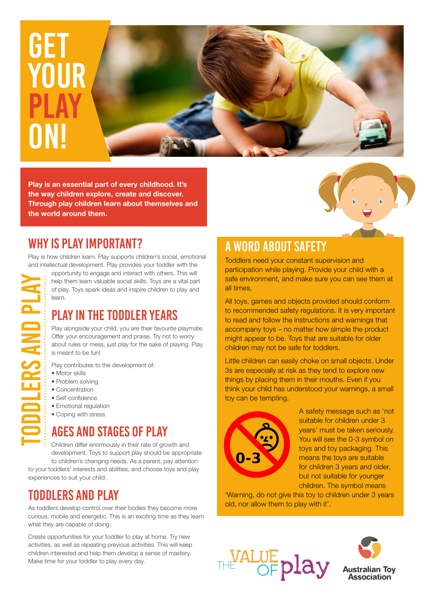

**Play is an essential part of every childhood. It's the way children explore, create and discover. Through play children learn about themselves and the world around them.**

## WHY IS play IMPORTANT?

Play is how children learn. Play supports children's social, emotional and intellectual development. Play provides your toddler with the

Toddlers and Play **DDLERS AND PLA**  opportunity to engage and interact with others. This will help them learn valuable social skills. Toys are a vital part of play. Toys spark ideas and inspire children to play and learn.

## PLAY IN THE TODDLER YEARS

Play alongside your child, you are their favourite playmate. Offer your encouragement and praise. Try not to worry about rules or mess, just play for the sake of playing. Play is meant to be fun!

Play contributes to the development of:

- Motor skills
- Problem solving
- Concentration
- Self-confidence
- Emotional regulation
- Coping with stress

# AGES AND STAGES OF PLAY

Children differ enormously in their rate of growth and development. Toys to support play should be appropriate to children's changing needs. As a parent, pay attention to your toddlers' interests and abilities, and choose toys and play

experiences to suit your child.

## TODDLERS AND PLAY

As toddlers develop control over their bodies they become more curious, mobile and energetic. This is an exciting time as they learn what they are capable of doing.

Create opportunities for your toddler to play at home. Try new activities, as well as repeating previous activities. This will keep children interested and help them develop a sense of mastery. Make time for your toddler to play every day.

## A WORD ABOUT SAFETY

Toddlers need your constant supervision and participation while playing. Provide your child with a safe environment, and make sure you can see them at all times.

All toys, games and objects provided should conform to recommended safety regulations. It is very important to read and follow the instructions and warnings that accompany toys – no matter how simple the product might appear to be. Toys that are suitable for older children may not be safe for toddlers.

Little children can easily choke on small objects. Under 3s are especially at risk as they tend to explore new things by placing them in their mouths. Even if you think your child has understood your warnings, a small toy can be tempting.



A safety message such as 'not suitable for children under 3 years' must be taken seriously. You will see the 0-3 symbol on toys and toy packaging. This means the toys are suitable for children 3 years and older, but not suitable for younger children. The symbol means

'Warning, do not give this toy to children under 3 years old, nor allow them to play with it'.